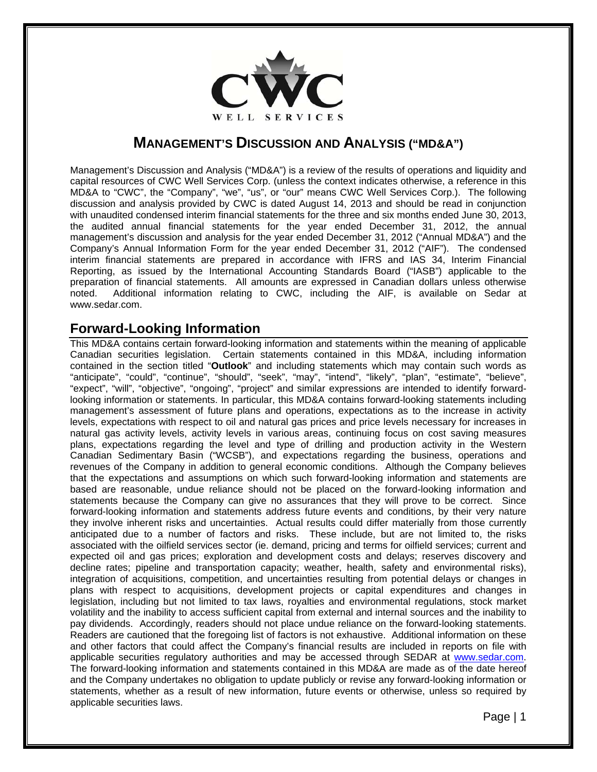

# **MANAGEMENT'S DISCUSSION AND ANALYSIS ("MD&A")**

Management's Discussion and Analysis ("MD&A") is a review of the results of operations and liquidity and capital resources of CWC Well Services Corp. (unless the context indicates otherwise, a reference in this MD&A to "CWC", the "Company", "we", "us", or "our" means CWC Well Services Corp.). The following discussion and analysis provided by CWC is dated August 14, 2013 and should be read in conjunction with unaudited condensed interim financial statements for the three and six months ended June 30, 2013, the audited annual financial statements for the year ended December 31, 2012, the annual management's discussion and analysis for the year ended December 31, 2012 ("Annual MD&A") and the Company's Annual Information Form for the year ended December 31, 2012 ("AIF"). The condensed interim financial statements are prepared in accordance with IFRS and IAS 34, Interim Financial Reporting, as issued by the International Accounting Standards Board ("IASB") applicable to the preparation of financial statements. All amounts are expressed in Canadian dollars unless otherwise noted. Additional information relating to CWC, including the AIF, is available on Sedar at www.sedar.com.

## **Forward-Looking Information**

This MD&A contains certain forward-looking information and statements within the meaning of applicable Canadian securities legislation. Certain statements contained in this MD&A, including information contained in the section titled "**Outlook**" and including statements which may contain such words as "anticipate", "could", "continue", "should", "seek", "may", "intend", "likely", "plan", "estimate", "believe", "expect", "will", "objective", "ongoing", "project" and similar expressions are intended to identify forwardlooking information or statements. In particular, this MD&A contains forward-looking statements including management's assessment of future plans and operations, expectations as to the increase in activity levels, expectations with respect to oil and natural gas prices and price levels necessary for increases in natural gas activity levels, activity levels in various areas, continuing focus on cost saving measures plans, expectations regarding the level and type of drilling and production activity in the Western Canadian Sedimentary Basin ("WCSB"), and expectations regarding the business, operations and revenues of the Company in addition to general economic conditions. Although the Company believes that the expectations and assumptions on which such forward-looking information and statements are based are reasonable, undue reliance should not be placed on the forward-looking information and statements because the Company can give no assurances that they will prove to be correct. Since forward-looking information and statements address future events and conditions, by their very nature they involve inherent risks and uncertainties. Actual results could differ materially from those currently anticipated due to a number of factors and risks. These include, but are not limited to, the risks associated with the oilfield services sector (ie. demand, pricing and terms for oilfield services; current and expected oil and gas prices; exploration and development costs and delays; reserves discovery and decline rates; pipeline and transportation capacity; weather, health, safety and environmental risks), integration of acquisitions, competition, and uncertainties resulting from potential delays or changes in plans with respect to acquisitions, development projects or capital expenditures and changes in legislation, including but not limited to tax laws, royalties and environmental regulations, stock market volatility and the inability to access sufficient capital from external and internal sources and the inability to pay dividends. Accordingly, readers should not place undue reliance on the forward-looking statements. Readers are cautioned that the foregoing list of factors is not exhaustive. Additional information on these and other factors that could affect the Company's financial results are included in reports on file with applicable securities regulatory authorities and may be accessed through SEDAR at www.sedar.com. The forward-looking information and statements contained in this MD&A are made as of the date hereof and the Company undertakes no obligation to update publicly or revise any forward-looking information or statements, whether as a result of new information, future events or otherwise, unless so required by applicable securities laws.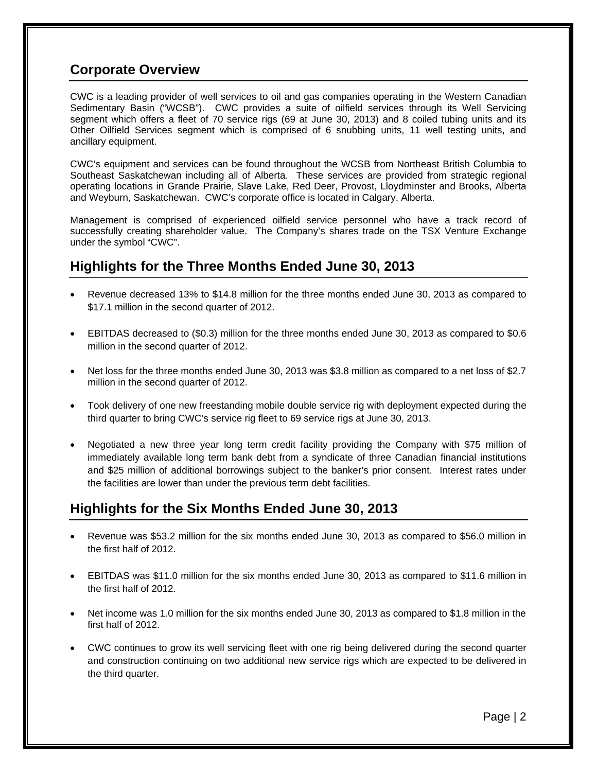## **Corporate Overview**

CWC is a leading provider of well services to oil and gas companies operating in the Western Canadian Sedimentary Basin ("WCSB"). CWC provides a suite of oilfield services through its Well Servicing segment which offers a fleet of 70 service rigs (69 at June 30, 2013) and 8 coiled tubing units and its Other Oilfield Services segment which is comprised of 6 snubbing units, 11 well testing units, and ancillary equipment.

CWC's equipment and services can be found throughout the WCSB from Northeast British Columbia to Southeast Saskatchewan including all of Alberta. These services are provided from strategic regional operating locations in Grande Prairie, Slave Lake, Red Deer, Provost, Lloydminster and Brooks, Alberta and Weyburn, Saskatchewan. CWC's corporate office is located in Calgary, Alberta.

Management is comprised of experienced oilfield service personnel who have a track record of successfully creating shareholder value. The Company's shares trade on the TSX Venture Exchange under the symbol "CWC".

# **Highlights for the Three Months Ended June 30, 2013**

- Revenue decreased 13% to \$14.8 million for the three months ended June 30, 2013 as compared to \$17.1 million in the second quarter of 2012.
- EBITDAS decreased to (\$0.3) million for the three months ended June 30, 2013 as compared to \$0.6 million in the second quarter of 2012.
- Net loss for the three months ended June 30, 2013 was \$3.8 million as compared to a net loss of \$2.7 million in the second quarter of 2012.
- Took delivery of one new freestanding mobile double service rig with deployment expected during the third quarter to bring CWC's service rig fleet to 69 service rigs at June 30, 2013.
- Negotiated a new three year long term credit facility providing the Company with \$75 million of immediately available long term bank debt from a syndicate of three Canadian financial institutions and \$25 million of additional borrowings subject to the banker's prior consent. Interest rates under the facilities are lower than under the previous term debt facilities.

# **Highlights for the Six Months Ended June 30, 2013**

- Revenue was \$53.2 million for the six months ended June 30, 2013 as compared to \$56.0 million in the first half of 2012.
- EBITDAS was \$11.0 million for the six months ended June 30, 2013 as compared to \$11.6 million in the first half of 2012.
- Net income was 1.0 million for the six months ended June 30, 2013 as compared to \$1.8 million in the first half of 2012.
- CWC continues to grow its well servicing fleet with one rig being delivered during the second quarter and construction continuing on two additional new service rigs which are expected to be delivered in the third quarter.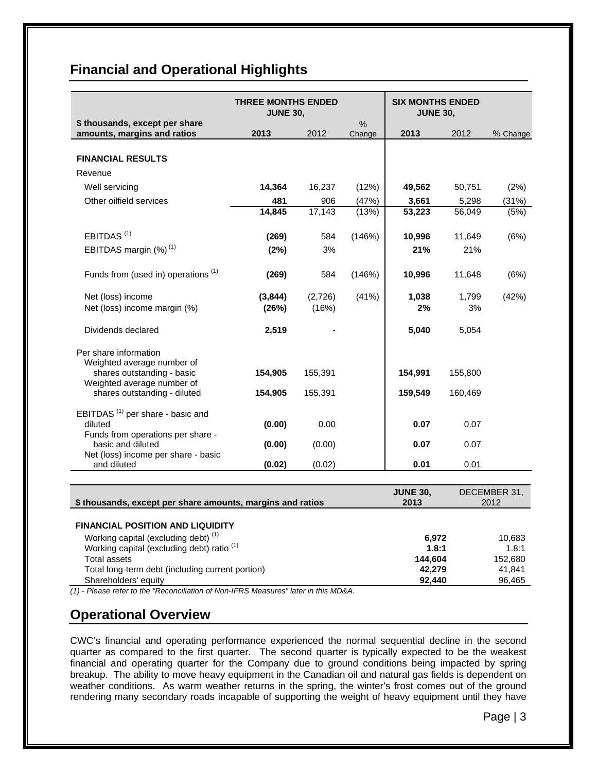# **Financial and Operational Highlights**

|                                                                                                             | <b>THREE MONTHS ENDED</b><br><b>JUNE 30,</b> |         |                | <b>SIX MONTHS ENDED</b><br><b>JUNE 30,</b> |         |                      |
|-------------------------------------------------------------------------------------------------------------|----------------------------------------------|---------|----------------|--------------------------------------------|---------|----------------------|
| \$ thousands, except per share<br>amounts, margins and ratios                                               | 2013                                         | 2012    | $\%$<br>Change | 2013                                       | 2012    | % Change             |
|                                                                                                             |                                              |         |                |                                            |         |                      |
| <b>FINANCIAL RESULTS</b>                                                                                    |                                              |         |                |                                            |         |                      |
| Revenue                                                                                                     |                                              |         |                |                                            |         |                      |
| Well servicing                                                                                              | 14,364                                       | 16,237  | (12%)          | 49,562                                     | 50,751  | (2%)                 |
| Other oilfield services                                                                                     | 481                                          | 906     | (47%)          | 3,661                                      | 5,298   | (31%)                |
|                                                                                                             | 14,845                                       | 17,143  | (13%)          | 53,223                                     | 56,049  | (5%)                 |
| EBITDAS <sup>(1)</sup>                                                                                      | (269)                                        | 584     | (146%)         | 10,996                                     | 11,649  | (6%)                 |
| EBITDAS margin $(\%)^{(1)}$                                                                                 | (2%)                                         | 3%      |                | 21%                                        | 21%     |                      |
| Funds from (used in) operations (1)                                                                         | (269)                                        | 584     | (146%)         | 10,996                                     | 11,648  | (6%)                 |
| Net (loss) income                                                                                           | (3,844)                                      | (2,726) | (41%)          | 1,038                                      | 1,799   | (42%)                |
| Net (loss) income margin (%)                                                                                | (26%)                                        | (16%)   |                | 2%                                         | 3%      |                      |
| Dividends declared                                                                                          | 2,519                                        |         |                | 5,040                                      | 5,054   |                      |
| Per share information<br>Weighted average number of<br>shares outstanding - basic                           | 154,905                                      | 155,391 |                | 154,991                                    | 155,800 |                      |
| Weighted average number of<br>shares outstanding - diluted                                                  | 154,905                                      | 155,391 |                | 159,549                                    | 160,469 |                      |
| EBITDAS <sup>(1)</sup> per share - basic and                                                                |                                              |         |                |                                            |         |                      |
| diluted                                                                                                     | (0.00)                                       | 0.00    |                | 0.07                                       | 0.07    |                      |
| Funds from operations per share -<br>basic and diluted                                                      | (0.00)                                       | (0.00)  |                | 0.07                                       | 0.07    |                      |
| Net (loss) income per share - basic<br>and diluted                                                          | (0.02)                                       | (0.02)  |                | 0.01                                       | 0.01    |                      |
|                                                                                                             |                                              |         |                |                                            |         |                      |
| \$ thousands, except per share amounts, margins and ratios                                                  |                                              |         |                | <b>JUNE 30,</b><br>2013                    |         | DECEMBER 31,<br>2012 |
| <b>FINANCIAL POSITION AND LIQUIDITY</b>                                                                     |                                              |         |                |                                            |         |                      |
| Working capital (excluding debt) <sup>(1)</sup>                                                             |                                              |         |                | 6,972                                      |         | 10,683               |
| Working capital (excluding debt) ratio <sup>(1)</sup>                                                       |                                              |         |                | 1.8:1                                      |         | 1.8:1                |
| <b>Total assets</b>                                                                                         |                                              |         |                | 144,604                                    |         | 152,680              |
| Total long-term debt (including current portion)                                                            |                                              |         |                | 42,279                                     |         | 41,841               |
| Shareholders' equity<br>(1) - Please refer to the "Reconciliation of Non-IFRS Measures" later in this MD&A. |                                              |         |                | 92,440                                     |         | 96,465               |

# **Operational Overview**

CWC's financial and operating performance experienced the normal sequential decline in the second quarter as compared to the first quarter. The second quarter is typically expected to be the weakest financial and operating quarter for the Company due to ground conditions being impacted by spring breakup. The ability to move heavy equipment in the Canadian oil and natural gas fields is dependent on weather conditions. As warm weather returns in the spring, the winter's frost comes out of the ground rendering many secondary roads incapable of supporting the weight of heavy equipment until they have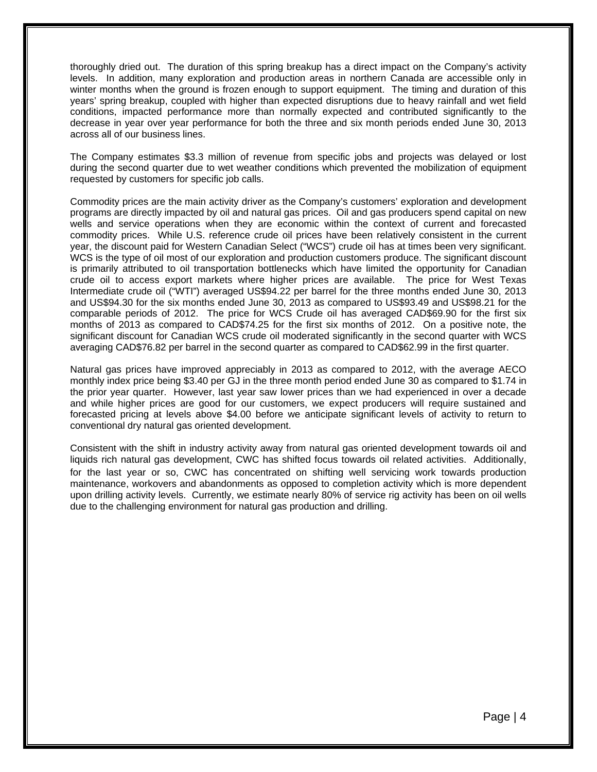thoroughly dried out. The duration of this spring breakup has a direct impact on the Company's activity levels. In addition, many exploration and production areas in northern Canada are accessible only in winter months when the ground is frozen enough to support equipment. The timing and duration of this years' spring breakup, coupled with higher than expected disruptions due to heavy rainfall and wet field conditions, impacted performance more than normally expected and contributed significantly to the decrease in year over year performance for both the three and six month periods ended June 30, 2013 across all of our business lines.

The Company estimates \$3.3 million of revenue from specific jobs and projects was delayed or lost during the second quarter due to wet weather conditions which prevented the mobilization of equipment requested by customers for specific job calls.

Commodity prices are the main activity driver as the Company's customers' exploration and development programs are directly impacted by oil and natural gas prices. Oil and gas producers spend capital on new wells and service operations when they are economic within the context of current and forecasted commodity prices. While U.S. reference crude oil prices have been relatively consistent in the current year, the discount paid for Western Canadian Select ("WCS") crude oil has at times been very significant. WCS is the type of oil most of our exploration and production customers produce. The significant discount is primarily attributed to oil transportation bottlenecks which have limited the opportunity for Canadian crude oil to access export markets where higher prices are available. The price for West Texas Intermediate crude oil ("WTI") averaged US\$94.22 per barrel for the three months ended June 30, 2013 and US\$94.30 for the six months ended June 30, 2013 as compared to US\$93.49 and US\$98.21 for the comparable periods of 2012. The price for WCS Crude oil has averaged CAD\$69.90 for the first six months of 2013 as compared to CAD\$74.25 for the first six months of 2012. On a positive note, the significant discount for Canadian WCS crude oil moderated significantly in the second quarter with WCS averaging CAD\$76.82 per barrel in the second quarter as compared to CAD\$62.99 in the first quarter.

Natural gas prices have improved appreciably in 2013 as compared to 2012, with the average AECO monthly index price being \$3.40 per GJ in the three month period ended June 30 as compared to \$1.74 in the prior year quarter. However, last year saw lower prices than we had experienced in over a decade and while higher prices are good for our customers, we expect producers will require sustained and forecasted pricing at levels above \$4.00 before we anticipate significant levels of activity to return to conventional dry natural gas oriented development.

Consistent with the shift in industry activity away from natural gas oriented development towards oil and liquids rich natural gas development, CWC has shifted focus towards oil related activities. Additionally, for the last year or so, CWC has concentrated on shifting well servicing work towards production maintenance, workovers and abandonments as opposed to completion activity which is more dependent upon drilling activity levels. Currently, we estimate nearly 80% of service rig activity has been on oil wells due to the challenging environment for natural gas production and drilling.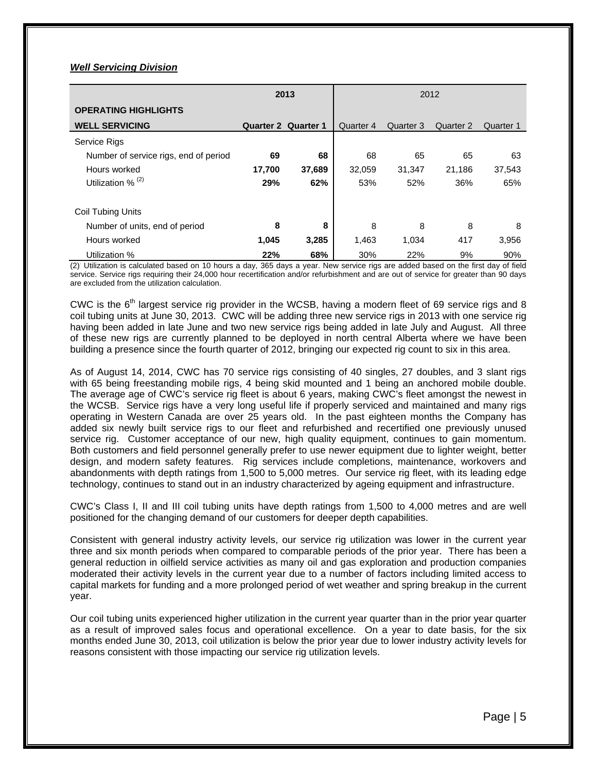### *Well Servicing Division*

|                                       |        | 2013                       | 2012      |           |           |           |
|---------------------------------------|--------|----------------------------|-----------|-----------|-----------|-----------|
| <b>OPERATING HIGHLIGHTS</b>           |        |                            |           |           |           |           |
| <b>WELL SERVICING</b>                 |        | <b>Quarter 2 Quarter 1</b> | Quarter 4 | Quarter 3 | Quarter 2 | Quarter 1 |
| Service Rigs                          |        |                            |           |           |           |           |
| Number of service rigs, end of period | 69     | 68                         | 68        | 65        | 65        | 63        |
| Hours worked                          | 17,700 | 37,689                     | 32,059    | 31,347    | 21,186    | 37,543    |
| Utilization % $(2)$                   | 29%    | 62%                        | 53%       | 52%       | 36%       | 65%       |
| <b>Coil Tubing Units</b>              |        |                            |           |           |           |           |
| Number of units, end of period        | 8      | 8                          | 8         | 8         | 8         | 8         |
| Hours worked                          | 1,045  | 3,285                      | 1,463     | 1,034     | 417       | 3,956     |
| Utilization %                         | 22%    | 68%                        | 30%       | 22%       | 9%        | 90%       |

(2). Utilization is calculated based on 10 hours a day, 365 days a year. New service rigs are added based on the first day of field service. Service rigs requiring their 24,000 hour recertification and/or refurbishment and are out of service for greater than 90 days are excluded from the utilization calculation.

CWC is the  $6<sup>th</sup>$  largest service rig provider in the WCSB, having a modern fleet of 69 service rigs and 8 coil tubing units at June 30, 2013. CWC will be adding three new service rigs in 2013 with one service rig having been added in late June and two new service rigs being added in late July and August. All three of these new rigs are currently planned to be deployed in north central Alberta where we have been building a presence since the fourth quarter of 2012, bringing our expected rig count to six in this area.

As of August 14, 2014, CWC has 70 service rigs consisting of 40 singles, 27 doubles, and 3 slant rigs with 65 being freestanding mobile rigs, 4 being skid mounted and 1 being an anchored mobile double. The average age of CWC's service rig fleet is about 6 years, making CWC's fleet amongst the newest in the WCSB. Service rigs have a very long useful life if properly serviced and maintained and many rigs operating in Western Canada are over 25 years old. In the past eighteen months the Company has added six newly built service rigs to our fleet and refurbished and recertified one previously unused service rig. Customer acceptance of our new, high quality equipment, continues to gain momentum. Both customers and field personnel generally prefer to use newer equipment due to lighter weight, better design, and modern safety features. Rig services include completions, maintenance, workovers and abandonments with depth ratings from 1,500 to 5,000 metres. Our service rig fleet, with its leading edge technology, continues to stand out in an industry characterized by ageing equipment and infrastructure.

CWC's Class I, II and III coil tubing units have depth ratings from 1,500 to 4,000 metres and are well positioned for the changing demand of our customers for deeper depth capabilities.

Consistent with general industry activity levels, our service rig utilization was lower in the current year three and six month periods when compared to comparable periods of the prior year. There has been a general reduction in oilfield service activities as many oil and gas exploration and production companies moderated their activity levels in the current year due to a number of factors including limited access to capital markets for funding and a more prolonged period of wet weather and spring breakup in the current year.

Our coil tubing units experienced higher utilization in the current year quarter than in the prior year quarter as a result of improved sales focus and operational excellence. On a year to date basis, for the six months ended June 30, 2013, coil utilization is below the prior year due to lower industry activity levels for reasons consistent with those impacting our service rig utilization levels.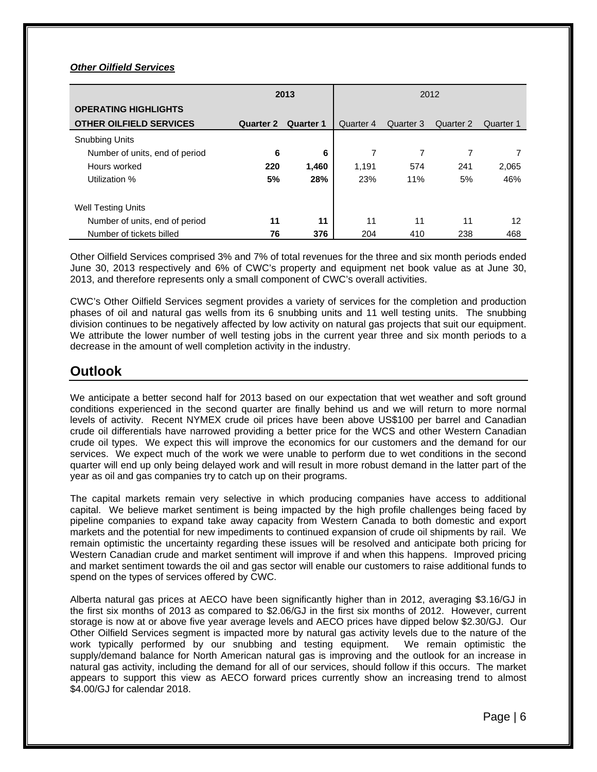### *Other Oilfield Services*

|                                | 2013             |                  | 2012      |           |           |           |  |
|--------------------------------|------------------|------------------|-----------|-----------|-----------|-----------|--|
| <b>OPERATING HIGHLIGHTS</b>    |                  |                  |           |           |           |           |  |
| <b>OTHER OILFIELD SERVICES</b> | <b>Quarter 2</b> | <b>Quarter 1</b> | Quarter 4 | Quarter 3 | Quarter 2 | Quarter 1 |  |
| Snubbing Units                 |                  |                  |           |           |           |           |  |
| Number of units, end of period | 6                | 6                | 7         | 7         | 7         |           |  |
| Hours worked                   | 220              | 1.460            | 1.191     | 574       | 241       | 2,065     |  |
| Utilization %                  | 5%               | 28%              | 23%       | 11%       | 5%        | 46%       |  |
| <b>Well Testing Units</b>      |                  |                  |           |           |           |           |  |
| Number of units, end of period | 11               | 11               | 11        | 11        | 11        | 12        |  |
| Number of tickets billed       | 76               | 376              | 204       | 410       | 238       | 468       |  |

Other Oilfield Services comprised 3% and 7% of total revenues for the three and six month periods ended June 30, 2013 respectively and 6% of CWC's property and equipment net book value as at June 30, 2013, and therefore represents only a small component of CWC's overall activities.

CWC's Other Oilfield Services segment provides a variety of services for the completion and production phases of oil and natural gas wells from its 6 snubbing units and 11 well testing units. The snubbing division continues to be negatively affected by low activity on natural gas projects that suit our equipment. We attribute the lower number of well testing jobs in the current year three and six month periods to a decrease in the amount of well completion activity in the industry.

## **Outlook**

We anticipate a better second half for 2013 based on our expectation that wet weather and soft ground conditions experienced in the second quarter are finally behind us and we will return to more normal levels of activity. Recent NYMEX crude oil prices have been above US\$100 per barrel and Canadian crude oil differentials have narrowed providing a better price for the WCS and other Western Canadian crude oil types. We expect this will improve the economics for our customers and the demand for our services. We expect much of the work we were unable to perform due to wet conditions in the second quarter will end up only being delayed work and will result in more robust demand in the latter part of the year as oil and gas companies try to catch up on their programs.

The capital markets remain very selective in which producing companies have access to additional capital. We believe market sentiment is being impacted by the high profile challenges being faced by pipeline companies to expand take away capacity from Western Canada to both domestic and export markets and the potential for new impediments to continued expansion of crude oil shipments by rail. We remain optimistic the uncertainty regarding these issues will be resolved and anticipate both pricing for Western Canadian crude and market sentiment will improve if and when this happens. Improved pricing and market sentiment towards the oil and gas sector will enable our customers to raise additional funds to spend on the types of services offered by CWC.

Alberta natural gas prices at AECO have been significantly higher than in 2012, averaging \$3.16/GJ in the first six months of 2013 as compared to \$2.06/GJ in the first six months of 2012. However, current storage is now at or above five year average levels and AECO prices have dipped below \$2.30/GJ. Our Other Oilfield Services segment is impacted more by natural gas activity levels due to the nature of the work typically performed by our snubbing and testing equipment. We remain optimistic the supply/demand balance for North American natural gas is improving and the outlook for an increase in natural gas activity, including the demand for all of our services, should follow if this occurs. The market appears to support this view as AECO forward prices currently show an increasing trend to almost \$4.00/GJ for calendar 2018.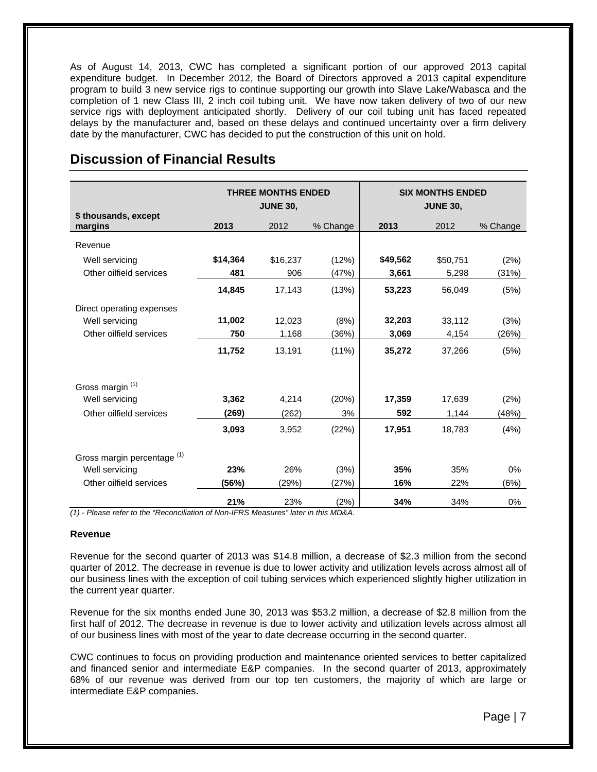As of August 14, 2013, CWC has completed a significant portion of our approved 2013 capital expenditure budget. In December 2012, the Board of Directors approved a 2013 capital expenditure program to build 3 new service rigs to continue supporting our growth into Slave Lake/Wabasca and the completion of 1 new Class III, 2 inch coil tubing unit. We have now taken delivery of two of our new service rigs with deployment anticipated shortly. Delivery of our coil tubing unit has faced repeated delays by the manufacturer and, based on these delays and continued uncertainty over a firm delivery date by the manufacturer, CWC has decided to put the construction of this unit on hold.

| \$ thousands, except        |                                                             | <b>THREE MONTHS ENDED</b><br><b>JUNE 30,</b> |                        | <b>SIX MONTHS ENDED</b><br><b>JUNE 30,</b> |          |          |  |
|-----------------------------|-------------------------------------------------------------|----------------------------------------------|------------------------|--------------------------------------------|----------|----------|--|
| margins                     | 2013                                                        | 2012                                         | % Change               | 2013                                       | 2012     | % Change |  |
| Revenue                     |                                                             |                                              |                        |                                            |          |          |  |
| Well servicing              | \$14,364                                                    | \$16,237                                     | (12%)                  | \$49,562                                   | \$50,751 | (2%)     |  |
| Other oilfield services     | 481                                                         | 906                                          | (47%)                  | 3,661                                      | 5,298    | (31%)    |  |
|                             | 14,845                                                      | 17,143                                       | (13%)                  | 53,223                                     | 56,049   | (5%)     |  |
| Direct operating expenses   |                                                             |                                              |                        |                                            |          |          |  |
| Well servicing              | 11,002                                                      | 12,023                                       | (8%)                   | 32,203                                     | 33,112   | (3%)     |  |
| Other oilfield services     | 750                                                         | 1,168                                        | (36%)                  | 3,069                                      | 4,154    | (26%)    |  |
|                             | 11,752                                                      | 13,191                                       | $(11\%)$               | 35,272                                     | 37,266   | (5%)     |  |
| Gross margin (1)            |                                                             |                                              |                        |                                            |          |          |  |
| Well servicing              | 3,362                                                       | 4,214                                        | (20%)                  | 17,359                                     | 17,639   | (2%)     |  |
| Other oilfield services     | (269)                                                       | (262)                                        | 3%                     | 592                                        | 1,144    | (48%)    |  |
|                             | 3,093                                                       | 3,952                                        | (22%)                  | 17,951                                     | 18,783   | (4%)     |  |
| Gross margin percentage (1) |                                                             |                                              |                        |                                            |          |          |  |
| Well servicing              | 23%                                                         | 26%                                          | (3%)                   | 35%                                        | 35%      | 0%       |  |
| Other oilfield services     | (56%)                                                       | (29%)                                        | (27%)                  | 16%                                        | 22%      | (6%)     |  |
| $D1 - 2$<br>والمسالات       | 21%<br>$\mathcal{L}$ N/ $\mathcal{L}$ IFDO M/ $\mathcal{L}$ | 23%<br>$22.1 -$                              | (2%)<br>$LL: L$ $MDQA$ | 34%                                        | 34%      | 0%       |  |

# **Discussion of Financial Results**

*(1) - Please refer to the "Reconciliation of Non-IFRS Measures" later in this MD&A.* 

#### **Revenue**

Revenue for the second quarter of 2013 was \$14.8 million, a decrease of \$2.3 million from the second quarter of 2012. The decrease in revenue is due to lower activity and utilization levels across almost all of our business lines with the exception of coil tubing services which experienced slightly higher utilization in the current year quarter.

Revenue for the six months ended June 30, 2013 was \$53.2 million, a decrease of \$2.8 million from the first half of 2012. The decrease in revenue is due to lower activity and utilization levels across almost all of our business lines with most of the year to date decrease occurring in the second quarter.

CWC continues to focus on providing production and maintenance oriented services to better capitalized and financed senior and intermediate E&P companies. In the second quarter of 2013, approximately 68% of our revenue was derived from our top ten customers, the majority of which are large or intermediate E&P companies.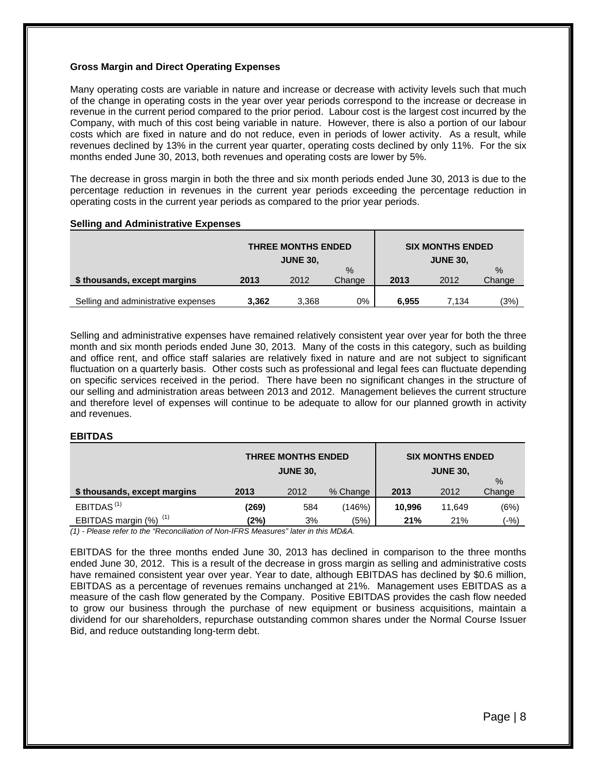### **Gross Margin and Direct Operating Expenses**

Many operating costs are variable in nature and increase or decrease with activity levels such that much of the change in operating costs in the year over year periods correspond to the increase or decrease in revenue in the current period compared to the prior period. Labour cost is the largest cost incurred by the Company, with much of this cost being variable in nature. However, there is also a portion of our labour costs which are fixed in nature and do not reduce, even in periods of lower activity. As a result, while revenues declined by 13% in the current year quarter, operating costs declined by only 11%. For the six months ended June 30, 2013, both revenues and operating costs are lower by 5%.

The decrease in gross margin in both the three and six month periods ended June 30, 2013 is due to the percentage reduction in revenues in the current year periods exceeding the percentage reduction in operating costs in the current year periods as compared to the prior year periods.

|                                     | <b>THREE MONTHS ENDED</b><br><b>JUNE 30.</b> |       |                | <b>SIX MONTHS ENDED</b><br><b>JUNE 30.</b> |       |                |
|-------------------------------------|----------------------------------------------|-------|----------------|--------------------------------------------|-------|----------------|
| \$ thousands, except margins        | 2013                                         | 2012  | $\%$<br>Change | 2013                                       | 2012  | $\%$<br>Change |
| Selling and administrative expenses | 3.362                                        | 3.368 | 0%             | 6.955                                      | 7.134 | (3%)           |

### **Selling and Administrative Expenses**

Selling and administrative expenses have remained relatively consistent year over year for both the three month and six month periods ended June 30, 2013. Many of the costs in this category, such as building and office rent, and office staff salaries are relatively fixed in nature and are not subject to significant fluctuation on a quarterly basis. Other costs such as professional and legal fees can fluctuate depending on specific services received in the period. There have been no significant changes in the structure of our selling and administration areas between 2013 and 2012. Management believes the current structure and therefore level of expenses will continue to be adequate to allow for our planned growth in activity and revenues.

#### **EBITDAS**

|                                   |       | <b>THREE MONTHS ENDED</b> |          |        | <b>SIX MONTHS ENDED</b> |                |
|-----------------------------------|-------|---------------------------|----------|--------|-------------------------|----------------|
|                                   |       | <b>JUNE 30.</b>           |          |        | <b>JUNE 30.</b>         |                |
| \$ thousands, except margins      | 2013  | 2012                      | % Change | 2013   | 2012                    | $\%$<br>Change |
| EBITDAS <sup>(1)</sup>            | (269) | 584                       | (146%)   | 10,996 | 11.649                  | (6%)           |
| EBITDAS margin (%) <sup>(1)</sup> | (2%)  | 3%                        | (5%)     | 21%    | 21%                     | (-%)           |

*(1) - Please refer to the "Reconciliation of Non-IFRS Measures" later in this MD&A.* 

EBITDAS for the three months ended June 30, 2013 has declined in comparison to the three months ended June 30, 2012. This is a result of the decrease in gross margin as selling and administrative costs have remained consistent year over year. Year to date, although EBITDAS has declined by \$0.6 million, EBITDAS as a percentage of revenues remains unchanged at 21%. Management uses EBITDAS as a measure of the cash flow generated by the Company. Positive EBITDAS provides the cash flow needed to grow our business through the purchase of new equipment or business acquisitions, maintain a dividend for our shareholders, repurchase outstanding common shares under the Normal Course Issuer Bid, and reduce outstanding long-term debt.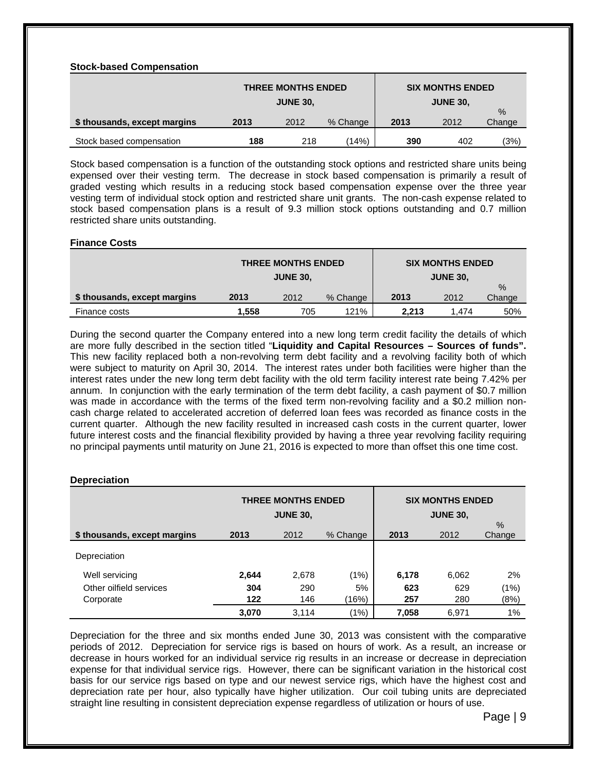| <b>Stock-based Compensation</b> |  |
|---------------------------------|--|
|---------------------------------|--|

|                              |                 | <b>THREE MONTHS ENDED</b> |          |      | <b>SIX MONTHS ENDED</b> |        |
|------------------------------|-----------------|---------------------------|----------|------|-------------------------|--------|
|                              | <b>JUNE 30.</b> |                           |          |      | $\frac{0}{0}$           |        |
| \$ thousands, except margins | 2013            | 2012                      | % Change | 2013 | 2012                    | Change |
| Stock based compensation     | 188             | 218                       | (14%)    | 390  | 402                     | (3%)   |

Stock based compensation is a function of the outstanding stock options and restricted share units being expensed over their vesting term. The decrease in stock based compensation is primarily a result of graded vesting which results in a reducing stock based compensation expense over the three year vesting term of individual stock option and restricted share unit grants. The non-cash expense related to stock based compensation plans is a result of 9.3 million stock options outstanding and 0.7 million restricted share units outstanding.

#### **Finance Costs**

|                              |       | <b>THREE MONTHS ENDED</b> |          |       | <b>SIX MONTHS ENDED</b> |                |  |
|------------------------------|-------|---------------------------|----------|-------|-------------------------|----------------|--|
|                              |       | <b>JUNE 30.</b>           |          |       | <b>JUNE 30.</b>         |                |  |
| \$ thousands, except margins | 2013  | 2012                      | % Change | 2013  | 2012                    | $\%$<br>Change |  |
| Finance costs                | 1.558 | 705                       | 121%     | 2.213 | 1,474                   | 50%            |  |

During the second quarter the Company entered into a new long term credit facility the details of which are more fully described in the section titled "**Liquidity and Capital Resources – Sources of funds".** This new facility replaced both a non-revolving term debt facility and a revolving facility both of which were subject to maturity on April 30, 2014. The interest rates under both facilities were higher than the interest rates under the new long term debt facility with the old term facility interest rate being 7.42% per annum. In conjunction with the early termination of the term debt facility, a cash payment of \$0.7 million was made in accordance with the terms of the fixed term non-revolving facility and a \$0.2 million noncash charge related to accelerated accretion of deferred loan fees was recorded as finance costs in the current quarter. Although the new facility resulted in increased cash costs in the current quarter, lower future interest costs and the financial flexibility provided by having a three year revolving facility requiring no principal payments until maturity on June 21, 2016 is expected to more than offset this one time cost.

#### **Depreciation**

|                              | <b>THREE MONTHS ENDED</b><br><b>JUNE 30.</b> |       |          |       | <b>SIX MONTHS ENDED</b><br><b>JUNE 30.</b> | $\frac{9}{6}$ |
|------------------------------|----------------------------------------------|-------|----------|-------|--------------------------------------------|---------------|
| \$ thousands, except margins | 2013                                         | 2012  | % Change | 2013  | 2012                                       | Change        |
| Depreciation                 |                                              |       |          |       |                                            |               |
| Well servicing               | 2,644                                        | 2,678 | (1%)     | 6,178 | 6,062                                      | 2%            |
| Other oilfield services      | 304                                          | 290   | 5%       | 623   | 629                                        | (1%)          |
| Corporate                    | 122                                          | 146   | (16%)    | 257   | 280                                        | (8%)          |
|                              | 3,070                                        | 3.114 | (1%)     | 7,058 | 6,971                                      | 1%            |

Depreciation for the three and six months ended June 30, 2013 was consistent with the comparative periods of 2012. Depreciation for service rigs is based on hours of work. As a result, an increase or decrease in hours worked for an individual service rig results in an increase or decrease in depreciation expense for that individual service rigs. However, there can be significant variation in the historical cost basis for our service rigs based on type and our newest service rigs, which have the highest cost and depreciation rate per hour, also typically have higher utilization. Our coil tubing units are depreciated straight line resulting in consistent depreciation expense regardless of utilization or hours of use.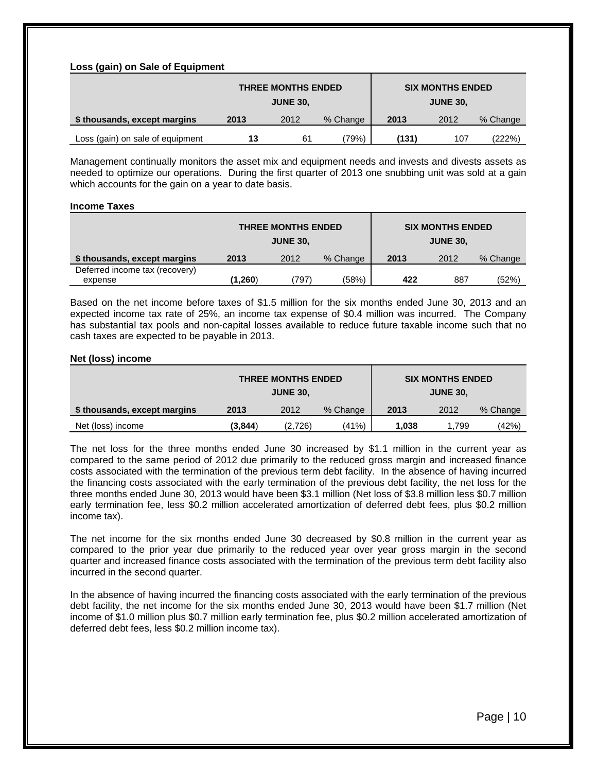### **Loss (gain) on Sale of Equipment**

|                                  |      | <b>THREE MONTHS ENDED</b><br><b>JUNE 30.</b> |          |       | <b>SIX MONTHS ENDED</b><br><b>JUNE 30.</b> |          |
|----------------------------------|------|----------------------------------------------|----------|-------|--------------------------------------------|----------|
| \$ thousands, except margins     | 2013 | 2012                                         | % Change | 2013  | 2012                                       | % Change |
| Loss (gain) on sale of equipment | 13   | 61                                           | (79%)    | (131) | 107                                        | (222%)   |

Management continually monitors the asset mix and equipment needs and invests and divests assets as needed to optimize our operations. During the first quarter of 2013 one snubbing unit was sold at a gain which accounts for the gain on a year to date basis.

#### **Income Taxes**

|                                | <b>THREE MONTHS ENDED</b><br><b>JUNE 30.</b> |      |          | <b>SIX MONTHS ENDED</b><br><b>JUNE 30.</b> |      |          |
|--------------------------------|----------------------------------------------|------|----------|--------------------------------------------|------|----------|
| \$ thousands, except margins   | 2013                                         | 2012 | % Change | 2013                                       | 2012 | % Change |
| Deferred income tax (recovery) |                                              |      |          |                                            |      |          |
| expense                        | (1.260)                                      | 797) | (58%)    | 422                                        | 887  | (52%)    |

Based on the net income before taxes of \$1.5 million for the six months ended June 30, 2013 and an expected income tax rate of 25%, an income tax expense of \$0.4 million was incurred. The Company has substantial tax pools and non-capital losses available to reduce future taxable income such that no cash taxes are expected to be payable in 2013.

#### **Net (loss) income**

|                              | <b>THREE MONTHS ENDED</b><br><b>JUNE 30.</b> |         |          | <b>SIX MONTHS ENDED</b><br><b>JUNE 30.</b> |      |          |
|------------------------------|----------------------------------------------|---------|----------|--------------------------------------------|------|----------|
| \$ thousands, except margins | 2013                                         | 2012    | % Change | 2013                                       | 2012 | % Change |
| Net (loss) income            | (3.844)                                      | (2,726) | (41%)    | 1,038                                      | .799 | (42%)    |

The net loss for the three months ended June 30 increased by \$1.1 million in the current year as compared to the same period of 2012 due primarily to the reduced gross margin and increased finance costs associated with the termination of the previous term debt facility. In the absence of having incurred the financing costs associated with the early termination of the previous debt facility, the net loss for the three months ended June 30, 2013 would have been \$3.1 million (Net loss of \$3.8 million less \$0.7 million early termination fee, less \$0.2 million accelerated amortization of deferred debt fees, plus \$0.2 million income tax).

The net income for the six months ended June 30 decreased by \$0.8 million in the current year as compared to the prior year due primarily to the reduced year over year gross margin in the second quarter and increased finance costs associated with the termination of the previous term debt facility also incurred in the second quarter.

In the absence of having incurred the financing costs associated with the early termination of the previous debt facility, the net income for the six months ended June 30, 2013 would have been \$1.7 million (Net income of \$1.0 million plus \$0.7 million early termination fee, plus \$0.2 million accelerated amortization of deferred debt fees, less \$0.2 million income tax).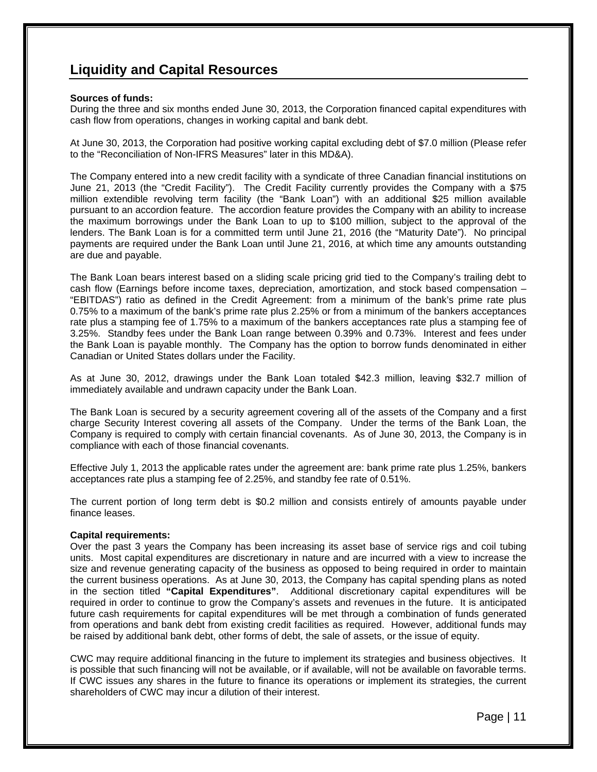## **Liquidity and Capital Resources**

#### **Sources of funds:**

During the three and six months ended June 30, 2013, the Corporation financed capital expenditures with cash flow from operations, changes in working capital and bank debt.

At June 30, 2013, the Corporation had positive working capital excluding debt of \$7.0 million (Please refer to the "Reconciliation of Non-IFRS Measures" later in this MD&A).

The Company entered into a new credit facility with a syndicate of three Canadian financial institutions on June 21, 2013 (the "Credit Facility"). The Credit Facility currently provides the Company with a \$75 million extendible revolving term facility (the "Bank Loan") with an additional \$25 million available pursuant to an accordion feature. The accordion feature provides the Company with an ability to increase the maximum borrowings under the Bank Loan to up to \$100 million, subject to the approval of the lenders. The Bank Loan is for a committed term until June 21, 2016 (the "Maturity Date"). No principal payments are required under the Bank Loan until June 21, 2016, at which time any amounts outstanding are due and payable.

The Bank Loan bears interest based on a sliding scale pricing grid tied to the Company's trailing debt to cash flow (Earnings before income taxes, depreciation, amortization, and stock based compensation – "EBITDAS") ratio as defined in the Credit Agreement: from a minimum of the bank's prime rate plus 0.75% to a maximum of the bank's prime rate plus 2.25% or from a minimum of the bankers acceptances rate plus a stamping fee of 1.75% to a maximum of the bankers acceptances rate plus a stamping fee of 3.25%. Standby fees under the Bank Loan range between 0.39% and 0.73%. Interest and fees under the Bank Loan is payable monthly. The Company has the option to borrow funds denominated in either Canadian or United States dollars under the Facility.

As at June 30, 2012, drawings under the Bank Loan totaled \$42.3 million, leaving \$32.7 million of immediately available and undrawn capacity under the Bank Loan.

The Bank Loan is secured by a security agreement covering all of the assets of the Company and a first charge Security Interest covering all assets of the Company. Under the terms of the Bank Loan, the Company is required to comply with certain financial covenants. As of June 30, 2013, the Company is in compliance with each of those financial covenants.

Effective July 1, 2013 the applicable rates under the agreement are: bank prime rate plus 1.25%, bankers acceptances rate plus a stamping fee of 2.25%, and standby fee rate of 0.51%.

The current portion of long term debt is \$0.2 million and consists entirely of amounts payable under finance leases.

#### **Capital requirements:**

Over the past 3 years the Company has been increasing its asset base of service rigs and coil tubing units. Most capital expenditures are discretionary in nature and are incurred with a view to increase the size and revenue generating capacity of the business as opposed to being required in order to maintain the current business operations. As at June 30, 2013, the Company has capital spending plans as noted in the section titled **"Capital Expenditures"**. Additional discretionary capital expenditures will be required in order to continue to grow the Company's assets and revenues in the future. It is anticipated future cash requirements for capital expenditures will be met through a combination of funds generated from operations and bank debt from existing credit facilities as required. However, additional funds may be raised by additional bank debt, other forms of debt, the sale of assets, or the issue of equity.

CWC may require additional financing in the future to implement its strategies and business objectives. It is possible that such financing will not be available, or if available, will not be available on favorable terms. If CWC issues any shares in the future to finance its operations or implement its strategies, the current shareholders of CWC may incur a dilution of their interest.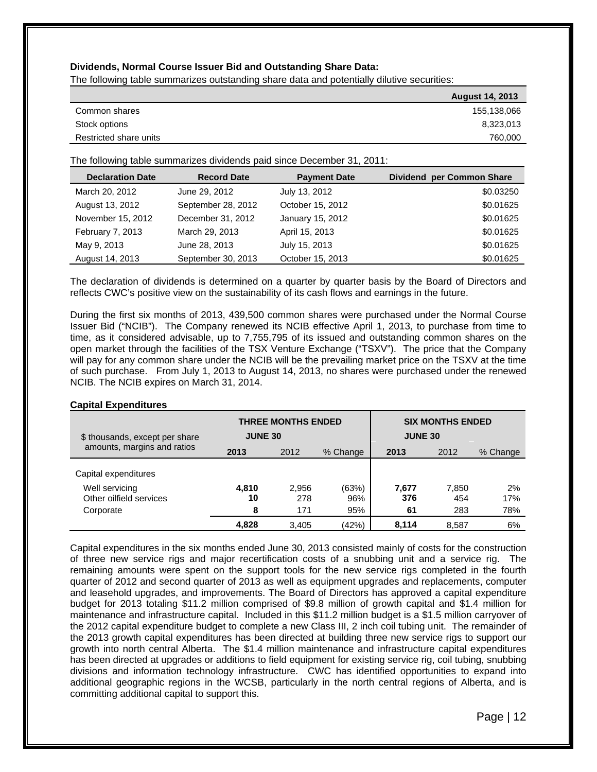#### **Dividends, Normal Course Issuer Bid and Outstanding Share Data:**

The following table summarizes outstanding share data and potentially dilutive securities:

|                        | <b>August 14, 2013</b> |
|------------------------|------------------------|
| Common shares          | 155,138,066            |
| Stock options          | 8,323,013              |
| Restricted share units | 760,000                |

The following table summarizes dividends paid since December 31, 2011:

| <b>Declaration Date</b> | <b>Record Date</b> | <b>Payment Date</b> | Dividend per Common Share |
|-------------------------|--------------------|---------------------|---------------------------|
| March 20, 2012          | June 29, 2012      | July 13, 2012       | \$0.03250                 |
| August 13, 2012         | September 28, 2012 | October 15, 2012    | \$0.01625                 |
| November 15, 2012       | December 31, 2012  | January 15, 2012    | \$0.01625                 |
| February 7, 2013        | March 29, 2013     | April 15, 2013      | \$0.01625                 |
| May 9, 2013             | June 28, 2013      | July 15, 2013       | \$0.01625                 |
| August 14, 2013         | September 30, 2013 | October 15, 2013    | \$0.01625                 |

The declaration of dividends is determined on a quarter by quarter basis by the Board of Directors and reflects CWC's positive view on the sustainability of its cash flows and earnings in the future.

During the first six months of 2013, 439,500 common shares were purchased under the Normal Course Issuer Bid ("NCIB"). The Company renewed its NCIB effective April 1, 2013, to purchase from time to time, as it considered advisable, up to 7,755,795 of its issued and outstanding common shares on the open market through the facilities of the TSX Venture Exchange ("TSXV"). The price that the Company will pay for any common share under the NCIB will be the prevailing market price on the TSXV at the time of such purchase. From July 1, 2013 to August 14, 2013, no shares were purchased under the renewed NCIB. The NCIB expires on March 31, 2014.

#### **Capital Expenditures**

| \$ thousands, except per share            | <b>THREE MONTHS ENDED</b><br><b>JUNE 30</b> |              |              | <b>SIX MONTHS ENDED</b><br><b>JUNE 30</b> |              |           |  |
|-------------------------------------------|---------------------------------------------|--------------|--------------|-------------------------------------------|--------------|-----------|--|
| amounts, margins and ratios               | 2013                                        | 2012         | % Change     | 2013                                      | 2012         | % Change  |  |
| Capital expenditures                      |                                             |              |              |                                           |              |           |  |
| Well servicing<br>Other oilfield services | 4.810<br>10                                 | 2,956<br>278 | (63%)<br>96% | 7,677<br>376                              | 7,850<br>454 | 2%<br>17% |  |
| Corporate                                 | 8                                           | 171          | 95%          | 61                                        | 283          | 78%       |  |
|                                           | 4.828                                       | 3.405        | (42%)        | 8.114                                     | 8,587        | 6%        |  |

Capital expenditures in the six months ended June 30, 2013 consisted mainly of costs for the construction of three new service rigs and major recertification costs of a snubbing unit and a service rig. The remaining amounts were spent on the support tools for the new service rigs completed in the fourth quarter of 2012 and second quarter of 2013 as well as equipment upgrades and replacements, computer and leasehold upgrades, and improvements. The Board of Directors has approved a capital expenditure budget for 2013 totaling \$11.2 million comprised of \$9.8 million of growth capital and \$1.4 million for maintenance and infrastructure capital. Included in this \$11.2 million budget is a \$1.5 million carryover of the 2012 capital expenditure budget to complete a new Class III, 2 inch coil tubing unit. The remainder of the 2013 growth capital expenditures has been directed at building three new service rigs to support our growth into north central Alberta. The \$1.4 million maintenance and infrastructure capital expenditures has been directed at upgrades or additions to field equipment for existing service rig, coil tubing, snubbing divisions and information technology infrastructure. CWC has identified opportunities to expand into additional geographic regions in the WCSB, particularly in the north central regions of Alberta, and is committing additional capital to support this.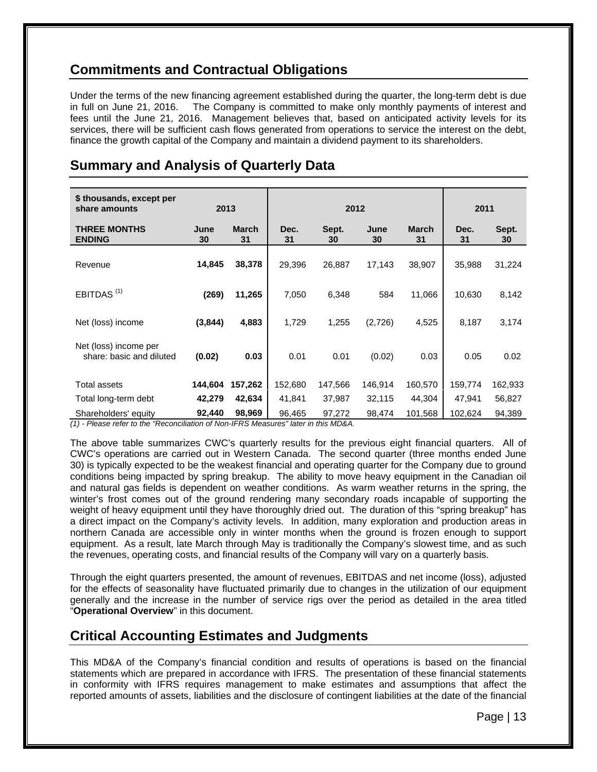## **Commitments and Contractual Obligations**

Under the terms of the new financing agreement established during the quarter, the long-term debt is due in full on June 21, 2016. The Company is committed to make only monthly payments of interest and fees until the June 21, 2016. Management believes that, based on anticipated activity levels for its services, there will be sufficient cash flows generated from operations to service the interest on the debt, finance the growth capital of the Company and maintain a dividend payment to its shareholders.

# **Summary and Analysis of Quarterly Data**

| \$ thousands, except per<br>share amounts         | 2013       |                    | 2012       |             |            | 2011               |            |             |
|---------------------------------------------------|------------|--------------------|------------|-------------|------------|--------------------|------------|-------------|
| <b>THREE MONTHS</b><br><b>ENDING</b>              | June<br>30 | <b>March</b><br>31 | Dec.<br>31 | Sept.<br>30 | June<br>30 | <b>March</b><br>31 | Dec.<br>31 | Sept.<br>30 |
| Revenue                                           | 14,845     | 38,378             | 29,396     | 26,887      | 17,143     | 38,907             | 35,988     | 31,224      |
| EBITDAS <sup>(1)</sup>                            | (269)      | 11,265             | 7,050      | 6,348       | 584        | 11,066             | 10,630     | 8,142       |
| Net (loss) income                                 | (3,844)    | 4,883              | 1,729      | 1,255       | (2,726)    | 4,525              | 8,187      | 3,174       |
| Net (loss) income per<br>share: basic and diluted | (0.02)     | 0.03               | 0.01       | 0.01        | (0.02)     | 0.03               | 0.05       | 0.02        |
| Total assets                                      | 144,604    | 157,262            | 152,680    | 147,566     | 146,914    | 160,570            | 159,774    | 162,933     |
| Total long-term debt                              | 42,279     | 42,634             | 41,841     | 37,987      | 32,115     | 44,304             | 47,941     | 56,827      |
| Shareholders' equity                              | 92,440     | 98,969             | 96,465     | 97,272      | 98,474     | 101,568            | 102,624    | 94,389      |

*(1) - Please refer to the "Reconciliation of Non-IFRS Measures" later in this MD&A.* 

The above table summarizes CWC's quarterly results for the previous eight financial quarters. All of CWC's operations are carried out in Western Canada. The second quarter (three months ended June 30) is typically expected to be the weakest financial and operating quarter for the Company due to ground conditions being impacted by spring breakup. The ability to move heavy equipment in the Canadian oil and natural gas fields is dependent on weather conditions. As warm weather returns in the spring, the winter's frost comes out of the ground rendering many secondary roads incapable of supporting the weight of heavy equipment until they have thoroughly dried out. The duration of this "spring breakup" has a direct impact on the Company's activity levels. In addition, many exploration and production areas in northern Canada are accessible only in winter months when the ground is frozen enough to support equipment. As a result, late March through May is traditionally the Company's slowest time, and as such the revenues, operating costs, and financial results of the Company will vary on a quarterly basis.

Through the eight quarters presented, the amount of revenues, EBITDAS and net income (loss), adjusted for the effects of seasonality have fluctuated primarily due to changes in the utilization of our equipment generally and the increase in the number of service rigs over the period as detailed in the area titled "**Operational Overview**" in this document.

## **Critical Accounting Estimates and Judgments**

This MD&A of the Company's financial condition and results of operations is based on the financial statements which are prepared in accordance with IFRS. The presentation of these financial statements in conformity with IFRS requires management to make estimates and assumptions that affect the reported amounts of assets, liabilities and the disclosure of contingent liabilities at the date of the financial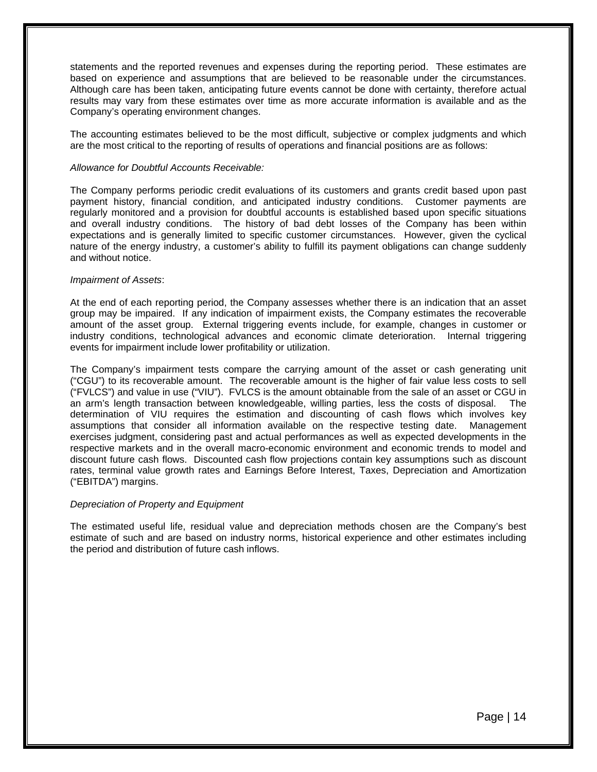statements and the reported revenues and expenses during the reporting period. These estimates are based on experience and assumptions that are believed to be reasonable under the circumstances. Although care has been taken, anticipating future events cannot be done with certainty, therefore actual results may vary from these estimates over time as more accurate information is available and as the Company's operating environment changes.

The accounting estimates believed to be the most difficult, subjective or complex judgments and which are the most critical to the reporting of results of operations and financial positions are as follows:

#### *Allowance for Doubtful Accounts Receivable:*

The Company performs periodic credit evaluations of its customers and grants credit based upon past payment history, financial condition, and anticipated industry conditions. Customer payments are regularly monitored and a provision for doubtful accounts is established based upon specific situations and overall industry conditions. The history of bad debt losses of the Company has been within expectations and is generally limited to specific customer circumstances. However, given the cyclical nature of the energy industry, a customer's ability to fulfill its payment obligations can change suddenly and without notice.

#### *Impairment of Assets*:

At the end of each reporting period, the Company assesses whether there is an indication that an asset group may be impaired. If any indication of impairment exists, the Company estimates the recoverable amount of the asset group. External triggering events include, for example, changes in customer or industry conditions, technological advances and economic climate deterioration. Internal triggering events for impairment include lower profitability or utilization.

The Company's impairment tests compare the carrying amount of the asset or cash generating unit ("CGU") to its recoverable amount. The recoverable amount is the higher of fair value less costs to sell ("FVLCS") and value in use ("VIU"). FVLCS is the amount obtainable from the sale of an asset or CGU in an arm's length transaction between knowledgeable, willing parties, less the costs of disposal. The determination of VIU requires the estimation and discounting of cash flows which involves key assumptions that consider all information available on the respective testing date. Management exercises judgment, considering past and actual performances as well as expected developments in the respective markets and in the overall macro-economic environment and economic trends to model and discount future cash flows. Discounted cash flow projections contain key assumptions such as discount rates, terminal value growth rates and Earnings Before Interest, Taxes, Depreciation and Amortization ("EBITDA") margins.

#### *Depreciation of Property and Equipment*

The estimated useful life, residual value and depreciation methods chosen are the Company's best estimate of such and are based on industry norms, historical experience and other estimates including the period and distribution of future cash inflows.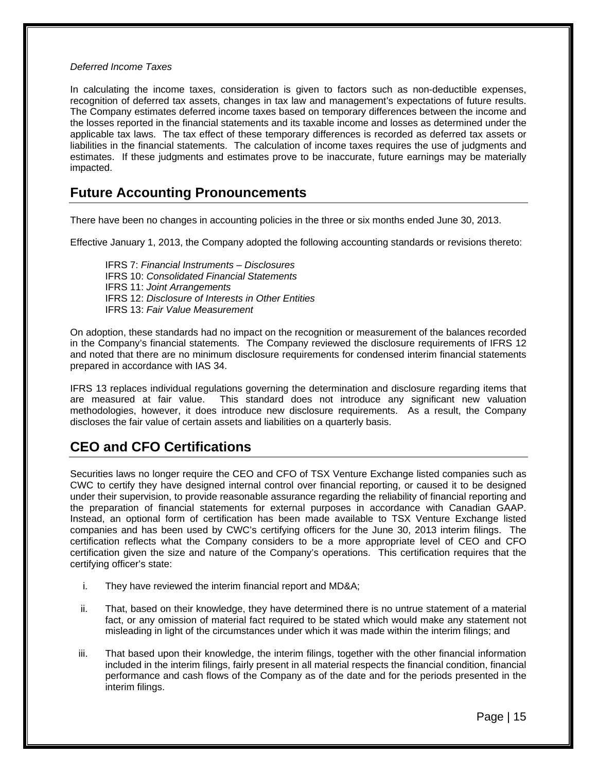#### *Deferred Income Taxes*

In calculating the income taxes, consideration is given to factors such as non-deductible expenses, recognition of deferred tax assets, changes in tax law and management's expectations of future results. The Company estimates deferred income taxes based on temporary differences between the income and the losses reported in the financial statements and its taxable income and losses as determined under the applicable tax laws. The tax effect of these temporary differences is recorded as deferred tax assets or liabilities in the financial statements. The calculation of income taxes requires the use of judgments and estimates. If these judgments and estimates prove to be inaccurate, future earnings may be materially impacted.

## **Future Accounting Pronouncements**

There have been no changes in accounting policies in the three or six months ended June 30, 2013.

Effective January 1, 2013, the Company adopted the following accounting standards or revisions thereto:

IFRS 7: *Financial Instruments – Disclosures* IFRS 10: *Consolidated Financial Statements*  IFRS 11: *Joint Arrangements* IFRS 12: *Disclosure of Interests in Other Entities* IFRS 13: *Fair Value Measurement*

On adoption, these standards had no impact on the recognition or measurement of the balances recorded in the Company's financial statements. The Company reviewed the disclosure requirements of IFRS 12 and noted that there are no minimum disclosure requirements for condensed interim financial statements prepared in accordance with IAS 34.

IFRS 13 replaces individual regulations governing the determination and disclosure regarding items that are measured at fair value. This standard does not introduce any significant new valuation methodologies, however, it does introduce new disclosure requirements. As a result, the Company discloses the fair value of certain assets and liabilities on a quarterly basis.

# **CEO and CFO Certifications**

Securities laws no longer require the CEO and CFO of TSX Venture Exchange listed companies such as CWC to certify they have designed internal control over financial reporting, or caused it to be designed under their supervision, to provide reasonable assurance regarding the reliability of financial reporting and the preparation of financial statements for external purposes in accordance with Canadian GAAP. Instead, an optional form of certification has been made available to TSX Venture Exchange listed companies and has been used by CWC's certifying officers for the June 30, 2013 interim filings. The certification reflects what the Company considers to be a more appropriate level of CEO and CFO certification given the size and nature of the Company's operations. This certification requires that the certifying officer's state:

- i. They have reviewed the interim financial report and MD&A;
- ii. That, based on their knowledge, they have determined there is no untrue statement of a material fact, or any omission of material fact required to be stated which would make any statement not misleading in light of the circumstances under which it was made within the interim filings; and
- iii. That based upon their knowledge, the interim filings, together with the other financial information included in the interim filings, fairly present in all material respects the financial condition, financial performance and cash flows of the Company as of the date and for the periods presented in the interim filings.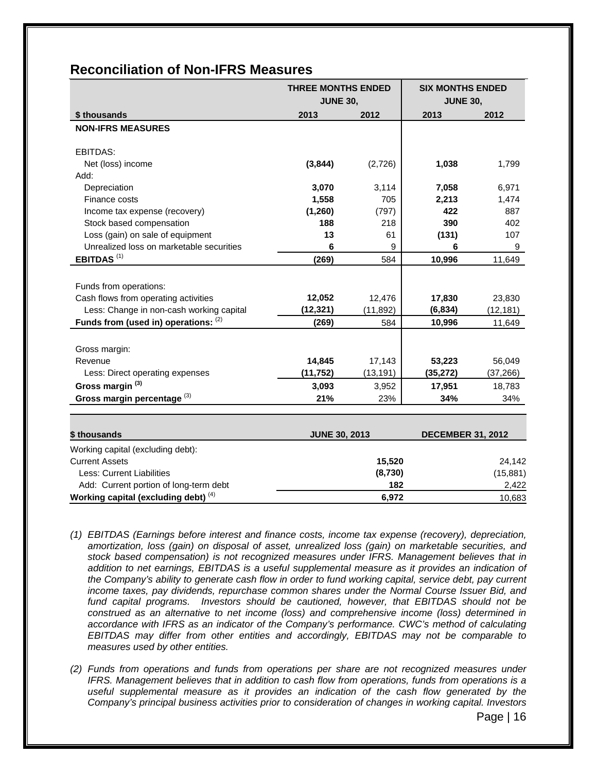## **Reconciliation of Non-IFRS Measures**

|                                          | <b>THREE MONTHS ENDED</b> |           | <b>SIX MONTHS ENDED</b>  |           |  |
|------------------------------------------|---------------------------|-----------|--------------------------|-----------|--|
|                                          | <b>JUNE 30,</b>           |           | <b>JUNE 30,</b>          |           |  |
| \$ thousands                             | 2013                      | 2012      | 2013                     | 2012      |  |
| <b>NON-IFRS MEASURES</b>                 |                           |           |                          |           |  |
|                                          |                           |           |                          |           |  |
| <b>EBITDAS:</b>                          |                           |           |                          |           |  |
| Net (loss) income                        | (3, 844)                  | (2,726)   | 1,038                    | 1,799     |  |
| Add:                                     |                           |           |                          |           |  |
| Depreciation                             | 3,070                     | 3,114     | 7,058                    | 6,971     |  |
| Finance costs                            | 1,558                     | 705       | 2,213                    | 1,474     |  |
| Income tax expense (recovery)            | (1, 260)                  | (797)     | 422                      | 887       |  |
| Stock based compensation                 | 188                       | 218       | 390                      | 402       |  |
| Loss (gain) on sale of equipment         | 13                        | 61        | (131)                    | 107       |  |
| Unrealized loss on marketable securities | 6                         | 9         | 6                        | 9         |  |
| EBITDAS <sup>(1)</sup>                   | (269)                     | 584       | 10,996                   | 11,649    |  |
|                                          |                           |           |                          |           |  |
| Funds from operations:                   |                           |           |                          |           |  |
| Cash flows from operating activities     | 12,052                    | 12,476    | 17,830                   | 23,830    |  |
| Less: Change in non-cash working capital | (12, 321)                 | (11, 892) | (6, 834)                 | (12, 181) |  |
| Funds from (used in) operations: $(2)$   | (269)                     | 584       | 10,996                   | 11,649    |  |
|                                          |                           |           |                          |           |  |
| Gross margin:                            |                           |           |                          |           |  |
| Revenue                                  | 14,845                    | 17,143    | 53,223                   | 56,049    |  |
| Less: Direct operating expenses          | (11, 752)                 | (13, 191) | (35, 272)                | (37, 266) |  |
| Gross margin <sup>(3)</sup>              | 3,093                     | 3,952     | 17,951                   | 18,783    |  |
| Gross margin percentage (3)              | 21%                       | 23%       | 34%                      | 34%       |  |
|                                          |                           |           |                          |           |  |
|                                          |                           |           |                          |           |  |
| \$ thousands                             | <b>JUNE 30, 2013</b>      |           | <b>DECEMBER 31, 2012</b> |           |  |
| Working capital (excluding debt):        |                           |           |                          |           |  |
| <b>Current Assets</b>                    |                           | 15,520    |                          | 24,142    |  |
| <b>Less: Current Liabilities</b>         |                           | (8,730)   |                          | (15, 881) |  |
| Add: Current portion of long-term debt   |                           | 182       |                          | 2,422     |  |
| Working capital (excluding debt) (4)     |                           | 6,972     |                          | 10,683    |  |

- *(1) EBITDAS (Earnings before interest and finance costs, income tax expense (recovery), depreciation, amortization, loss (gain) on disposal of asset, unrealized loss (gain) on marketable securities, and stock based compensation) is not recognized measures under IFRS. Management believes that in addition to net earnings, EBITDAS is a useful supplemental measure as it provides an indication of the Company's ability to generate cash flow in order to fund working capital, service debt, pay current income taxes, pay dividends, repurchase common shares under the Normal Course Issuer Bid, and fund capital programs. Investors should be cautioned, however, that EBITDAS should not be construed as an alternative to net income (loss) and comprehensive income (loss) determined in accordance with IFRS as an indicator of the Company's performance. CWC's method of calculating EBITDAS may differ from other entities and accordingly, EBITDAS may not be comparable to measures used by other entities.*
- *(2) Funds from operations and funds from operations per share are not recognized measures under IFRS. Management believes that in addition to cash flow from operations, funds from operations is a useful supplemental measure as it provides an indication of the cash flow generated by the Company's principal business activities prior to consideration of changes in working capital. Investors*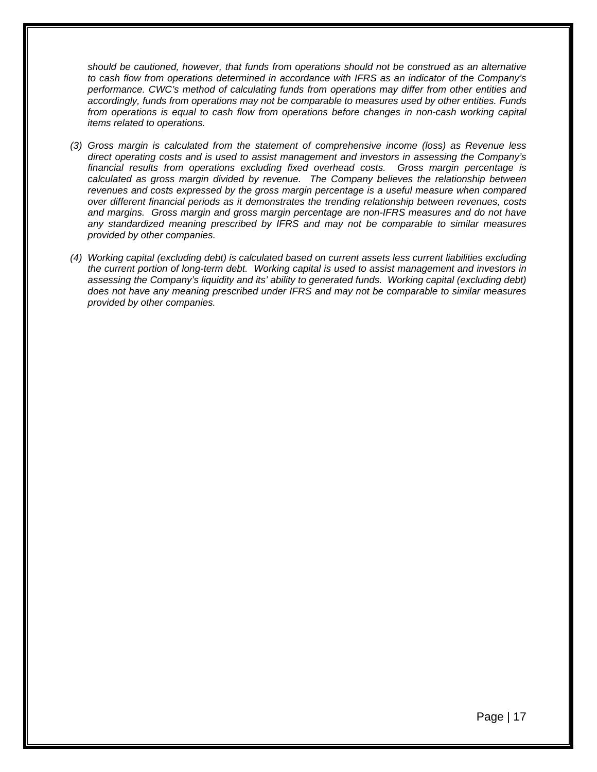*should be cautioned, however, that funds from operations should not be construed as an alternative to cash flow from operations determined in accordance with IFRS as an indicator of the Company's performance. CWC's method of calculating funds from operations may differ from other entities and accordingly, funds from operations may not be comparable to measures used by other entities. Funds from operations is equal to cash flow from operations before changes in non-cash working capital items related to operations.*

- *(3) Gross margin is calculated from the statement of comprehensive income (loss) as Revenue less direct operating costs and is used to assist management and investors in assessing the Company's financial results from operations excluding fixed overhead costs. Gross margin percentage is calculated as gross margin divided by revenue. The Company believes the relationship between revenues and costs expressed by the gross margin percentage is a useful measure when compared over different financial periods as it demonstrates the trending relationship between revenues, costs and margins. Gross margin and gross margin percentage are non-IFRS measures and do not have any standardized meaning prescribed by IFRS and may not be comparable to similar measures provided by other companies.*
- *(4) Working capital (excluding debt) is calculated based on current assets less current liabilities excluding the current portion of long-term debt. Working capital is used to assist management and investors in*  assessing the Company's liquidity and its' ability to generated funds. Working capital (excluding debt) *does not have any meaning prescribed under IFRS and may not be comparable to similar measures provided by other companies.*